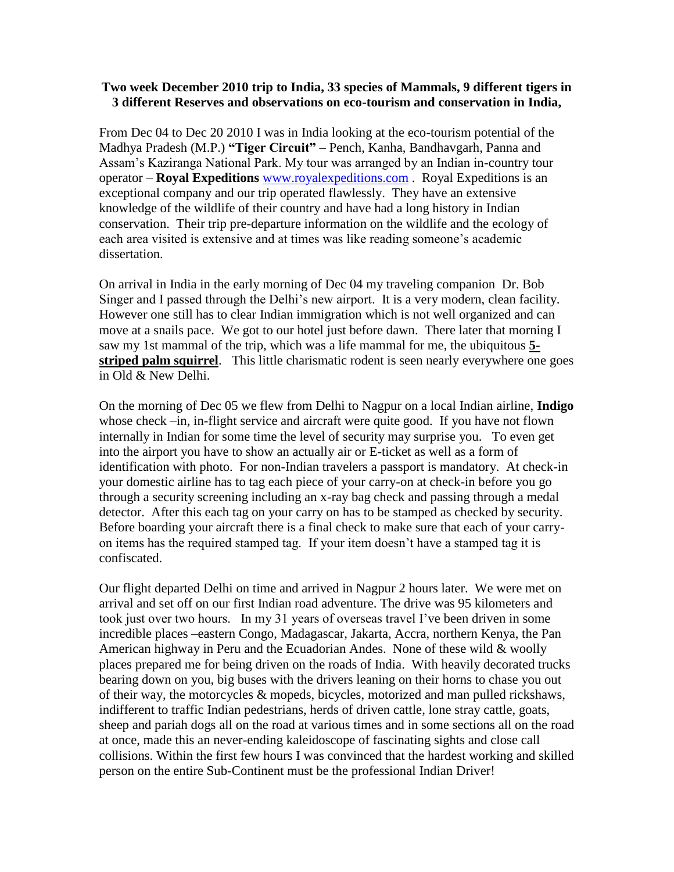## **Two week December 2010 trip to India, 33 species of Mammals, 9 different tigers in 3 different Reserves and observations on eco-tourism and conservation in India,**

From Dec 04 to Dec 20 2010 I was in India looking at the eco-tourism potential of the Madhya Pradesh (M.P.) **"Tiger Circuit"** – Pench, Kanha, Bandhavgarh, Panna and Assam's Kaziranga National Park. My tour was arranged by an Indian in-country tour operator – **Royal Expeditions** [www.royalexpeditions.com](http://www.royalexpeditions.com/) . Royal Expeditions is an exceptional company and our trip operated flawlessly. They have an extensive knowledge of the wildlife of their country and have had a long history in Indian conservation. Their trip pre-departure information on the wildlife and the ecology of each area visited is extensive and at times was like reading someone's academic dissertation.

On arrival in India in the early morning of Dec 04 my traveling companion Dr. Bob Singer and I passed through the Delhi's new airport. It is a very modern, clean facility. However one still has to clear Indian immigration which is not well organized and can move at a snails pace. We got to our hotel just before dawn. There later that morning I saw my 1st mammal of the trip, which was a life mammal for me, the ubiquitous **5 striped palm squirrel**. This little charismatic rodent is seen nearly everywhere one goes in Old & New Delhi.

On the morning of Dec 05 we flew from Delhi to Nagpur on a local Indian airline, **Indigo**  whose check –in, in-flight service and aircraft were quite good. If you have not flown internally in Indian for some time the level of security may surprise you. To even get into the airport you have to show an actually air or E-ticket as well as a form of identification with photo. For non-Indian travelers a passport is mandatory. At check-in your domestic airline has to tag each piece of your carry-on at check-in before you go through a security screening including an x-ray bag check and passing through a medal detector. After this each tag on your carry on has to be stamped as checked by security. Before boarding your aircraft there is a final check to make sure that each of your carryon items has the required stamped tag. If your item doesn't have a stamped tag it is confiscated.

Our flight departed Delhi on time and arrived in Nagpur 2 hours later. We were met on arrival and set off on our first Indian road adventure. The drive was 95 kilometers and took just over two hours. In my 31 years of overseas travel I've been driven in some incredible places –eastern Congo, Madagascar, Jakarta, Accra, northern Kenya, the Pan American highway in Peru and the Ecuadorian Andes. None of these wild & woolly places prepared me for being driven on the roads of India. With heavily decorated trucks bearing down on you, big buses with the drivers leaning on their horns to chase you out of their way, the motorcycles & mopeds, bicycles, motorized and man pulled rickshaws, indifferent to traffic Indian pedestrians, herds of driven cattle, lone stray cattle, goats, sheep and pariah dogs all on the road at various times and in some sections all on the road at once, made this an never-ending kaleidoscope of fascinating sights and close call collisions. Within the first few hours I was convinced that the hardest working and skilled person on the entire Sub-Continent must be the professional Indian Driver!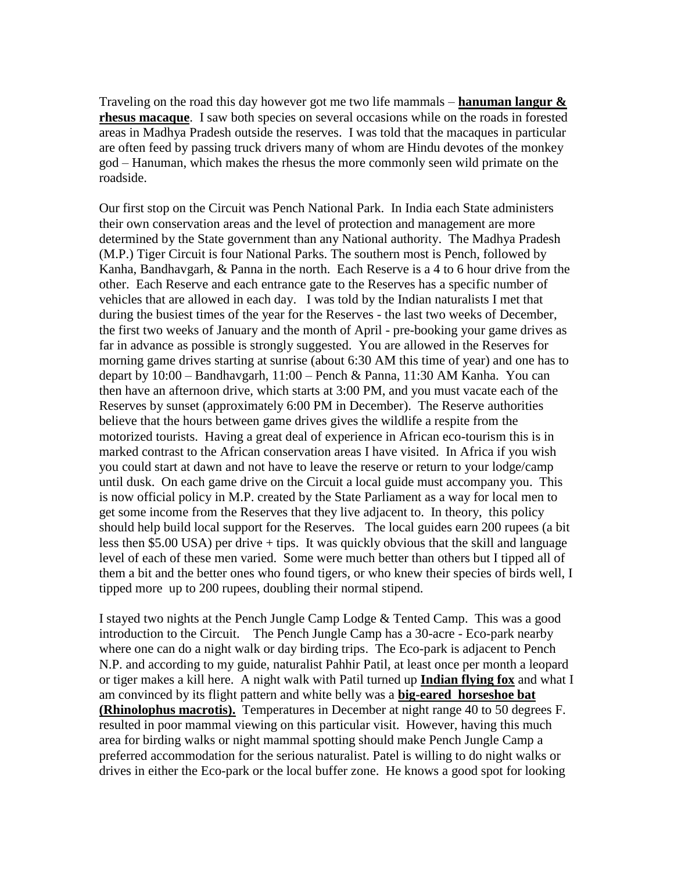Traveling on the road this day however got me two life mammals – **hanuman langur & rhesus macaque**. I saw both species on several occasions while on the roads in forested areas in Madhya Pradesh outside the reserves. I was told that the macaques in particular are often feed by passing truck drivers many of whom are Hindu devotes of the monkey god – Hanuman, which makes the rhesus the more commonly seen wild primate on the roadside.

Our first stop on the Circuit was Pench National Park. In India each State administers their own conservation areas and the level of protection and management are more determined by the State government than any National authority. The Madhya Pradesh (M.P.) Tiger Circuit is four National Parks. The southern most is Pench, followed by Kanha, Bandhavgarh, & Panna in the north. Each Reserve is a 4 to 6 hour drive from the other. Each Reserve and each entrance gate to the Reserves has a specific number of vehicles that are allowed in each day. I was told by the Indian naturalists I met that during the busiest times of the year for the Reserves - the last two weeks of December, the first two weeks of January and the month of April - pre-booking your game drives as far in advance as possible is strongly suggested. You are allowed in the Reserves for morning game drives starting at sunrise (about 6:30 AM this time of year) and one has to depart by 10:00 – Bandhavgarh, 11:00 – Pench & Panna, 11:30 AM Kanha. You can then have an afternoon drive, which starts at 3:00 PM, and you must vacate each of the Reserves by sunset (approximately 6:00 PM in December). The Reserve authorities believe that the hours between game drives gives the wildlife a respite from the motorized tourists. Having a great deal of experience in African eco-tourism this is in marked contrast to the African conservation areas I have visited. In Africa if you wish you could start at dawn and not have to leave the reserve or return to your lodge/camp until dusk. On each game drive on the Circuit a local guide must accompany you. This is now official policy in M.P. created by the State Parliament as a way for local men to get some income from the Reserves that they live adjacent to. In theory, this policy should help build local support for the Reserves. The local guides earn 200 rupees (a bit less then \$5.00 USA) per drive + tips. It was quickly obvious that the skill and language level of each of these men varied. Some were much better than others but I tipped all of them a bit and the better ones who found tigers, or who knew their species of birds well, I tipped more up to 200 rupees, doubling their normal stipend.

I stayed two nights at the Pench Jungle Camp Lodge & Tented Camp. This was a good introduction to the Circuit. The Pench Jungle Camp has a 30-acre - Eco-park nearby where one can do a night walk or day birding trips. The Eco-park is adjacent to Pench N.P. and according to my guide, naturalist Pahhir Patil, at least once per month a leopard or tiger makes a kill here. A night walk with Patil turned up **Indian flying fox** and what I am convinced by its flight pattern and white belly was a **big-eared horseshoe bat (Rhinolophus macrotis).** Temperatures in December at night range 40 to 50 degrees F. resulted in poor mammal viewing on this particular visit. However, having this much area for birding walks or night mammal spotting should make Pench Jungle Camp a preferred accommodation for the serious naturalist. Patel is willing to do night walks or drives in either the Eco-park or the local buffer zone. He knows a good spot for looking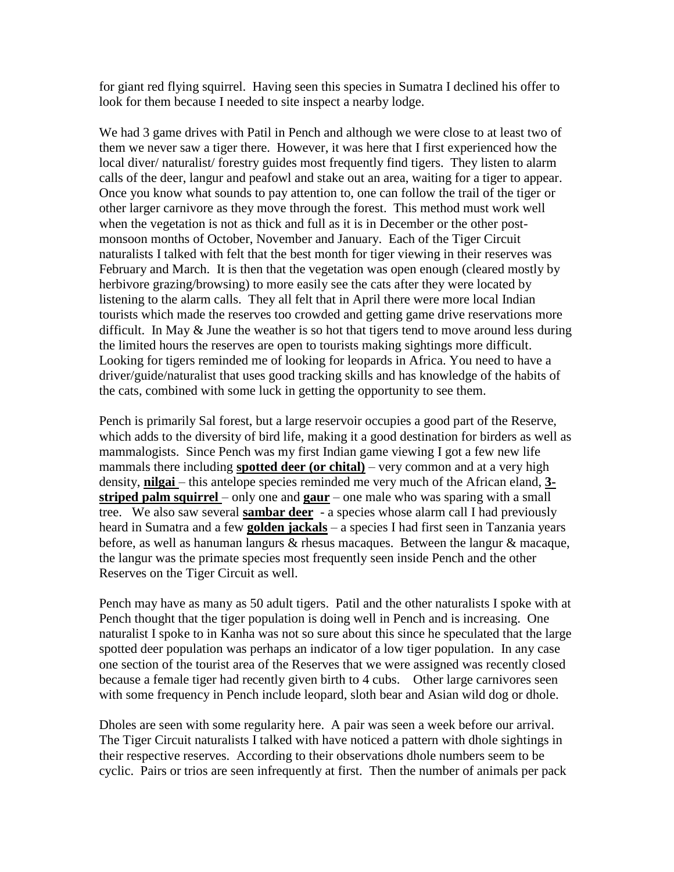for giant red flying squirrel. Having seen this species in Sumatra I declined his offer to look for them because I needed to site inspect a nearby lodge.

We had 3 game drives with Patil in Pench and although we were close to at least two of them we never saw a tiger there. However, it was here that I first experienced how the local diver/ naturalist/ forestry guides most frequently find tigers. They listen to alarm calls of the deer, langur and peafowl and stake out an area, waiting for a tiger to appear. Once you know what sounds to pay attention to, one can follow the trail of the tiger or other larger carnivore as they move through the forest. This method must work well when the vegetation is not as thick and full as it is in December or the other postmonsoon months of October, November and January. Each of the Tiger Circuit naturalists I talked with felt that the best month for tiger viewing in their reserves was February and March. It is then that the vegetation was open enough (cleared mostly by herbivore grazing/browsing) to more easily see the cats after they were located by listening to the alarm calls. They all felt that in April there were more local Indian tourists which made the reserves too crowded and getting game drive reservations more difficult. In May & June the weather is so hot that tigers tend to move around less during the limited hours the reserves are open to tourists making sightings more difficult. Looking for tigers reminded me of looking for leopards in Africa. You need to have a driver/guide/naturalist that uses good tracking skills and has knowledge of the habits of the cats, combined with some luck in getting the opportunity to see them.

Pench is primarily Sal forest, but a large reservoir occupies a good part of the Reserve, which adds to the diversity of bird life, making it a good destination for birders as well as mammalogists. Since Pench was my first Indian game viewing I got a few new life mammals there including **spotted deer (or chital)** – very common and at a very high density, **nilgai** – this antelope species reminded me very much of the African eland, **3 striped palm squirrel** – only one and **gaur** – one male who was sparing with a small tree. We also saw several **sambar deer** - a species whose alarm call I had previously heard in Sumatra and a few **golden jackals** – a species I had first seen in Tanzania years before, as well as hanuman langurs & rhesus macaques. Between the langur & macaque, the langur was the primate species most frequently seen inside Pench and the other Reserves on the Tiger Circuit as well.

Pench may have as many as 50 adult tigers. Patil and the other naturalists I spoke with at Pench thought that the tiger population is doing well in Pench and is increasing. One naturalist I spoke to in Kanha was not so sure about this since he speculated that the large spotted deer population was perhaps an indicator of a low tiger population. In any case one section of the tourist area of the Reserves that we were assigned was recently closed because a female tiger had recently given birth to 4 cubs. Other large carnivores seen with some frequency in Pench include leopard, sloth bear and Asian wild dog or dhole.

Dholes are seen with some regularity here. A pair was seen a week before our arrival. The Tiger Circuit naturalists I talked with have noticed a pattern with dhole sightings in their respective reserves. According to their observations dhole numbers seem to be cyclic. Pairs or trios are seen infrequently at first. Then the number of animals per pack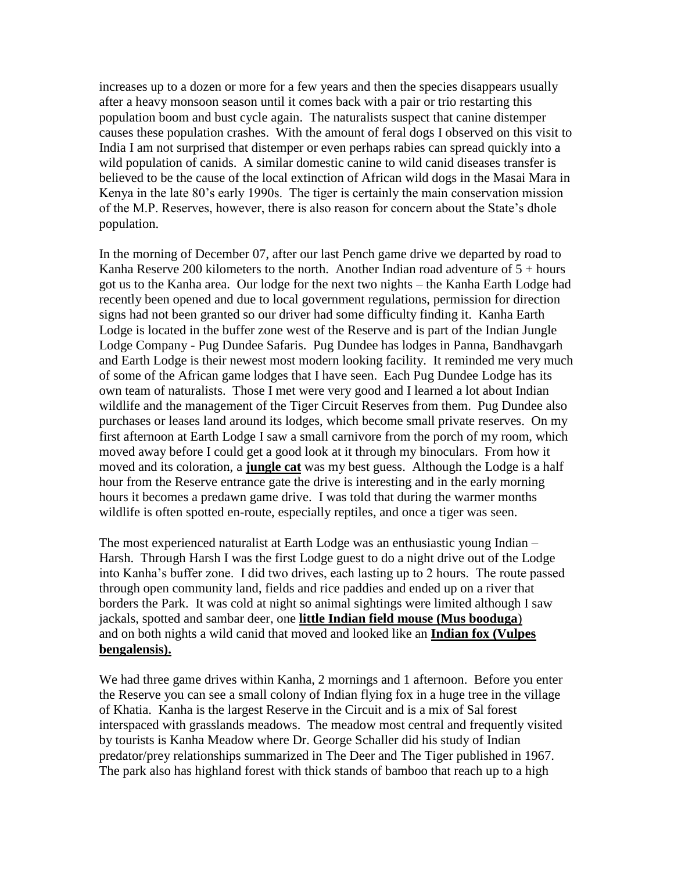increases up to a dozen or more for a few years and then the species disappears usually after a heavy monsoon season until it comes back with a pair or trio restarting this population boom and bust cycle again. The naturalists suspect that canine distemper causes these population crashes. With the amount of feral dogs I observed on this visit to India I am not surprised that distemper or even perhaps rabies can spread quickly into a wild population of canids. A similar domestic canine to wild canid diseases transfer is believed to be the cause of the local extinction of African wild dogs in the Masai Mara in Kenya in the late 80's early 1990s. The tiger is certainly the main conservation mission of the M.P. Reserves, however, there is also reason for concern about the State's dhole population.

In the morning of December 07, after our last Pench game drive we departed by road to Kanha Reserve 200 kilometers to the north. Another Indian road adventure of  $5 + hours$ got us to the Kanha area. Our lodge for the next two nights – the Kanha Earth Lodge had recently been opened and due to local government regulations, permission for direction signs had not been granted so our driver had some difficulty finding it. Kanha Earth Lodge is located in the buffer zone west of the Reserve and is part of the Indian Jungle Lodge Company - Pug Dundee Safaris. Pug Dundee has lodges in Panna, Bandhavgarh and Earth Lodge is their newest most modern looking facility. It reminded me very much of some of the African game lodges that I have seen. Each Pug Dundee Lodge has its own team of naturalists. Those I met were very good and I learned a lot about Indian wildlife and the management of the Tiger Circuit Reserves from them. Pug Dundee also purchases or leases land around its lodges, which become small private reserves. On my first afternoon at Earth Lodge I saw a small carnivore from the porch of my room, which moved away before I could get a good look at it through my binoculars. From how it moved and its coloration, a **jungle cat** was my best guess. Although the Lodge is a half hour from the Reserve entrance gate the drive is interesting and in the early morning hours it becomes a predawn game drive. I was told that during the warmer months wildlife is often spotted en-route, especially reptiles, and once a tiger was seen.

The most experienced naturalist at Earth Lodge was an enthusiastic young Indian – Harsh. Through Harsh I was the first Lodge guest to do a night drive out of the Lodge into Kanha's buffer zone. I did two drives, each lasting up to 2 hours. The route passed through open community land, fields and rice paddies and ended up on a river that borders the Park. It was cold at night so animal sightings were limited although I saw jackals, spotted and sambar deer, one **little Indian field mouse (Mus booduga**) and on both nights a wild canid that moved and looked like an **Indian fox (Vulpes bengalensis).**

We had three game drives within Kanha, 2 mornings and 1 afternoon. Before you enter the Reserve you can see a small colony of Indian flying fox in a huge tree in the village of Khatia. Kanha is the largest Reserve in the Circuit and is a mix of Sal forest interspaced with grasslands meadows. The meadow most central and frequently visited by tourists is Kanha Meadow where Dr. George Schaller did his study of Indian predator/prey relationships summarized in The Deer and The Tiger published in 1967. The park also has highland forest with thick stands of bamboo that reach up to a high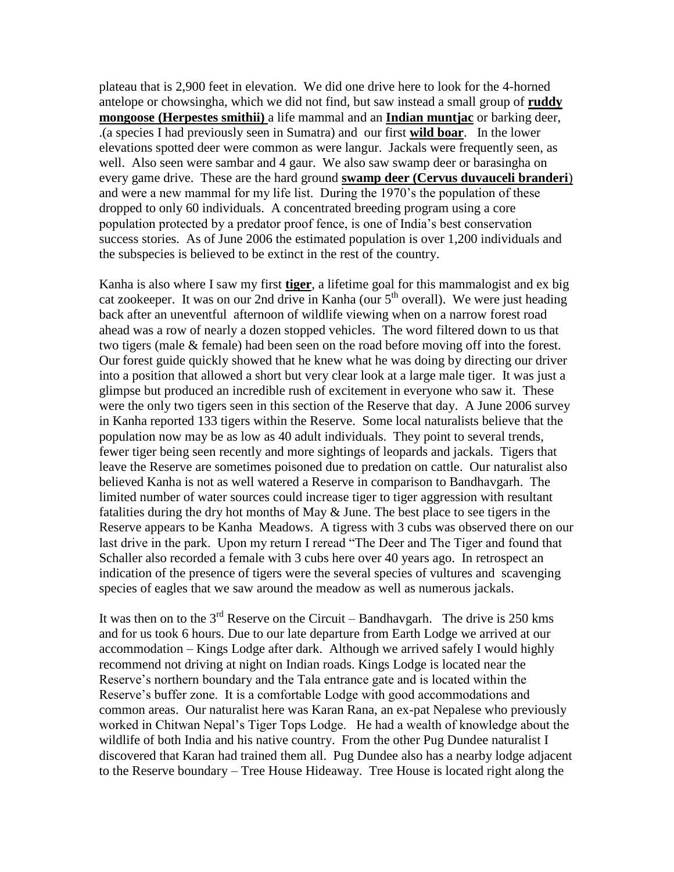plateau that is 2,900 feet in elevation. We did one drive here to look for the 4-horned antelope or chowsingha, which we did not find, but saw instead a small group of **ruddy mongoose (Herpestes smithii)** a life mammal and an **Indian muntjac** or barking deer, .(a species I had previously seen in Sumatra) and our first **wild boar**. In the lower elevations spotted deer were common as were langur. Jackals were frequently seen, as well. Also seen were sambar and 4 gaur. We also saw swamp deer or barasingha on every game drive. These are the hard ground **swamp deer (Cervus duvauceli branderi**) and were a new mammal for my life list. During the 1970's the population of these dropped to only 60 individuals. A concentrated breeding program using a core population protected by a predator proof fence, is one of India's best conservation success stories. As of June 2006 the estimated population is over 1,200 individuals and the subspecies is believed to be extinct in the rest of the country.

Kanha is also where I saw my first **tiger**, a lifetime goal for this mammalogist and ex big cat zookeeper. It was on our 2nd drive in Kanha (our  $5<sup>th</sup>$  overall). We were just heading back after an uneventful afternoon of wildlife viewing when on a narrow forest road ahead was a row of nearly a dozen stopped vehicles. The word filtered down to us that two tigers (male & female) had been seen on the road before moving off into the forest. Our forest guide quickly showed that he knew what he was doing by directing our driver into a position that allowed a short but very clear look at a large male tiger. It was just a glimpse but produced an incredible rush of excitement in everyone who saw it. These were the only two tigers seen in this section of the Reserve that day. A June 2006 survey in Kanha reported 133 tigers within the Reserve. Some local naturalists believe that the population now may be as low as 40 adult individuals. They point to several trends, fewer tiger being seen recently and more sightings of leopards and jackals. Tigers that leave the Reserve are sometimes poisoned due to predation on cattle. Our naturalist also believed Kanha is not as well watered a Reserve in comparison to Bandhavgarh. The limited number of water sources could increase tiger to tiger aggression with resultant fatalities during the dry hot months of May  $\&$  June. The best place to see tigers in the Reserve appears to be Kanha Meadows. A tigress with 3 cubs was observed there on our last drive in the park. Upon my return I reread "The Deer and The Tiger and found that Schaller also recorded a female with 3 cubs here over 40 years ago. In retrospect an indication of the presence of tigers were the several species of vultures and scavenging species of eagles that we saw around the meadow as well as numerous jackals.

It was then on to the  $3<sup>rd</sup>$  Reserve on the Circuit – Bandhavgarh. The drive is 250 kms and for us took 6 hours. Due to our late departure from Earth Lodge we arrived at our accommodation – Kings Lodge after dark. Although we arrived safely I would highly recommend not driving at night on Indian roads. Kings Lodge is located near the Reserve's northern boundary and the Tala entrance gate and is located within the Reserve's buffer zone. It is a comfortable Lodge with good accommodations and common areas. Our naturalist here was Karan Rana, an ex-pat Nepalese who previously worked in Chitwan Nepal's Tiger Tops Lodge. He had a wealth of knowledge about the wildlife of both India and his native country. From the other Pug Dundee naturalist I discovered that Karan had trained them all. Pug Dundee also has a nearby lodge adjacent to the Reserve boundary – Tree House Hideaway. Tree House is located right along the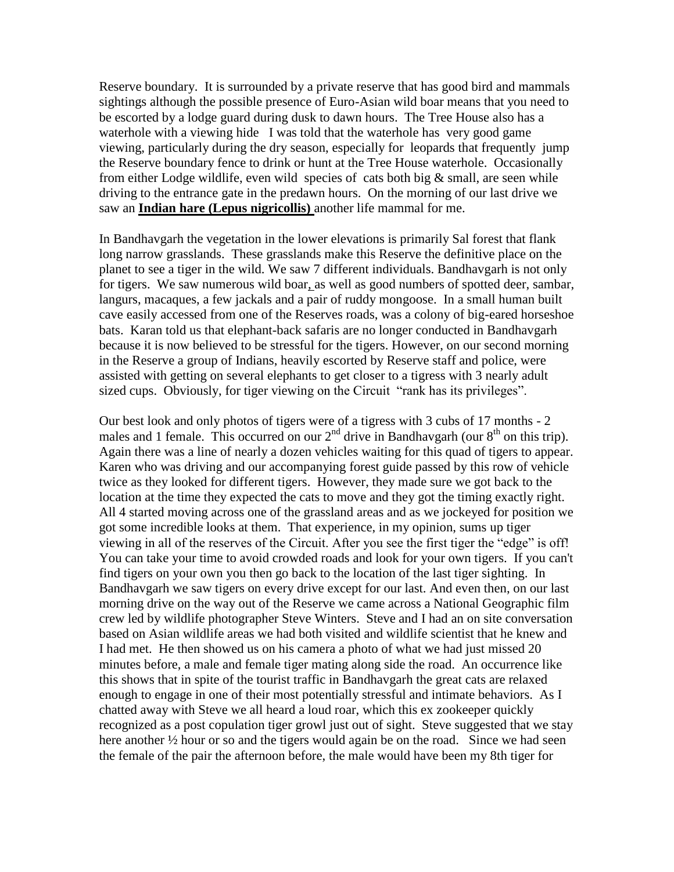Reserve boundary. It is surrounded by a private reserve that has good bird and mammals sightings although the possible presence of Euro-Asian wild boar means that you need to be escorted by a lodge guard during dusk to dawn hours. The Tree House also has a waterhole with a viewing hide I was told that the waterhole has very good game viewing, particularly during the dry season, especially for leopards that frequently jump the Reserve boundary fence to drink or hunt at the Tree House waterhole. Occasionally from either Lodge wildlife, even wild species of cats both big  $\&$  small, are seen while driving to the entrance gate in the predawn hours. On the morning of our last drive we saw an **Indian hare (Lepus nigricollis)** another life mammal for me.

In Bandhavgarh the vegetation in the lower elevations is primarily Sal forest that flank long narrow grasslands. These grasslands make this Reserve the definitive place on the planet to see a tiger in the wild. We saw 7 different individuals. Bandhavgarh is not only for tigers. We saw numerous wild boar, as well as good numbers of spotted deer, sambar, langurs, macaques, a few jackals and a pair of ruddy mongoose. In a small human built cave easily accessed from one of the Reserves roads, was a colony of big-eared horseshoe bats. Karan told us that elephant-back safaris are no longer conducted in Bandhavgarh because it is now believed to be stressful for the tigers. However, on our second morning in the Reserve a group of Indians, heavily escorted by Reserve staff and police, were assisted with getting on several elephants to get closer to a tigress with 3 nearly adult sized cups. Obviously, for tiger viewing on the Circuit "rank has its privileges".

Our best look and only photos of tigers were of a tigress with 3 cubs of 17 months - 2 males and 1 female. This occurred on our  $2<sup>nd</sup>$  drive in Bandhavgarh (our  $8<sup>th</sup>$  on this trip). Again there was a line of nearly a dozen vehicles waiting for this quad of tigers to appear. Karen who was driving and our accompanying forest guide passed by this row of vehicle twice as they looked for different tigers. However, they made sure we got back to the location at the time they expected the cats to move and they got the timing exactly right. All 4 started moving across one of the grassland areas and as we jockeyed for position we got some incredible looks at them. That experience, in my opinion, sums up tiger viewing in all of the reserves of the Circuit. After you see the first tiger the "edge" is off! You can take your time to avoid crowded roads and look for your own tigers. If you can't find tigers on your own you then go back to the location of the last tiger sighting. In Bandhavgarh we saw tigers on every drive except for our last. And even then, on our last morning drive on the way out of the Reserve we came across a National Geographic film crew led by wildlife photographer Steve Winters. Steve and I had an on site conversation based on Asian wildlife areas we had both visited and wildlife scientist that he knew and I had met. He then showed us on his camera a photo of what we had just missed 20 minutes before, a male and female tiger mating along side the road. An occurrence like this shows that in spite of the tourist traffic in Bandhavgarh the great cats are relaxed enough to engage in one of their most potentially stressful and intimate behaviors. As I chatted away with Steve we all heard a loud roar, which this ex zookeeper quickly recognized as a post copulation tiger growl just out of sight. Steve suggested that we stay here another <sup>1</sup>/<sub>2</sub> hour or so and the tigers would again be on the road. Since we had seen the female of the pair the afternoon before, the male would have been my 8th tiger for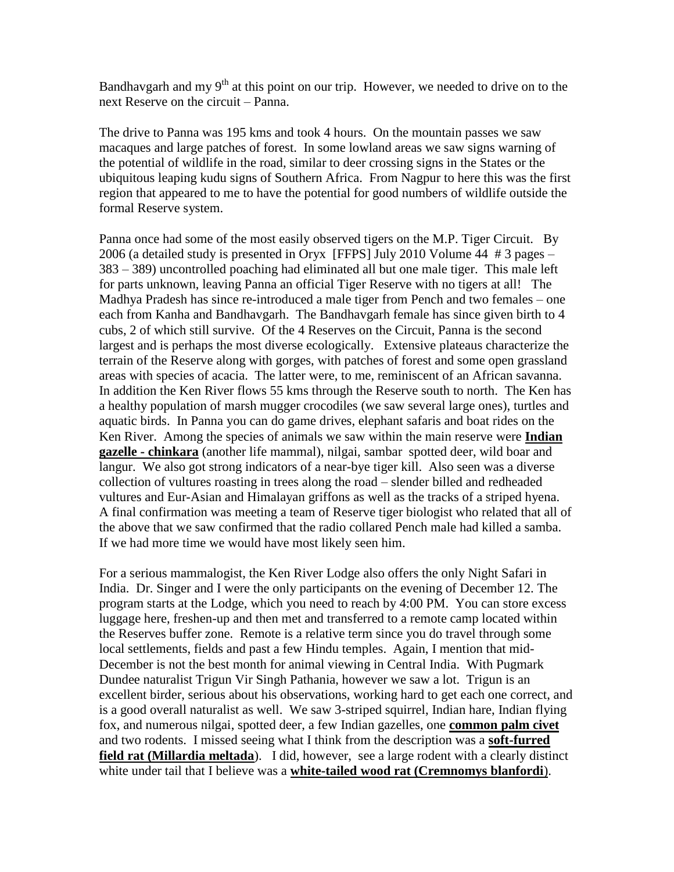Bandhavgarh and my  $9<sup>th</sup>$  at this point on our trip. However, we needed to drive on to the next Reserve on the circuit – Panna.

The drive to Panna was 195 kms and took 4 hours. On the mountain passes we saw macaques and large patches of forest. In some lowland areas we saw signs warning of the potential of wildlife in the road, similar to deer crossing signs in the States or the ubiquitous leaping kudu signs of Southern Africa. From Nagpur to here this was the first region that appeared to me to have the potential for good numbers of wildlife outside the formal Reserve system.

Panna once had some of the most easily observed tigers on the M.P. Tiger Circuit. By 2006 (a detailed study is presented in Oryx [FFPS] July 2010 Volume 44 # 3 pages – 383 – 389) uncontrolled poaching had eliminated all but one male tiger. This male left for parts unknown, leaving Panna an official Tiger Reserve with no tigers at all! The Madhya Pradesh has since re-introduced a male tiger from Pench and two females – one each from Kanha and Bandhavgarh. The Bandhavgarh female has since given birth to 4 cubs, 2 of which still survive. Of the 4 Reserves on the Circuit, Panna is the second largest and is perhaps the most diverse ecologically. Extensive plateaus characterize the terrain of the Reserve along with gorges, with patches of forest and some open grassland areas with species of acacia. The latter were, to me, reminiscent of an African savanna. In addition the Ken River flows 55 kms through the Reserve south to north. The Ken has a healthy population of marsh mugger crocodiles (we saw several large ones), turtles and aquatic birds. In Panna you can do game drives, elephant safaris and boat rides on the Ken River. Among the species of animals we saw within the main reserve were **Indian gazelle - chinkara** (another life mammal), nilgai, sambar spotted deer, wild boar and langur. We also got strong indicators of a near-bye tiger kill. Also seen was a diverse collection of vultures roasting in trees along the road – slender billed and redheaded vultures and Eur-Asian and Himalayan griffons as well as the tracks of a striped hyena. A final confirmation was meeting a team of Reserve tiger biologist who related that all of the above that we saw confirmed that the radio collared Pench male had killed a samba. If we had more time we would have most likely seen him.

For a serious mammalogist, the Ken River Lodge also offers the only Night Safari in India. Dr. Singer and I were the only participants on the evening of December 12. The program starts at the Lodge, which you need to reach by 4:00 PM. You can store excess luggage here, freshen-up and then met and transferred to a remote camp located within the Reserves buffer zone. Remote is a relative term since you do travel through some local settlements, fields and past a few Hindu temples. Again, I mention that mid-December is not the best month for animal viewing in Central India. With Pugmark Dundee naturalist Trigun Vir Singh Pathania, however we saw a lot. Trigun is an excellent birder, serious about his observations, working hard to get each one correct, and is a good overall naturalist as well. We saw 3-striped squirrel, Indian hare, Indian flying fox, and numerous nilgai, spotted deer, a few Indian gazelles, one **common palm civet** and two rodents. I missed seeing what I think from the description was a **soft-furred field rat (Millardia meltada**). I did, however, see a large rodent with a clearly distinct white under tail that I believe was a **white-tailed wood rat (Cremnomys blanfordi**).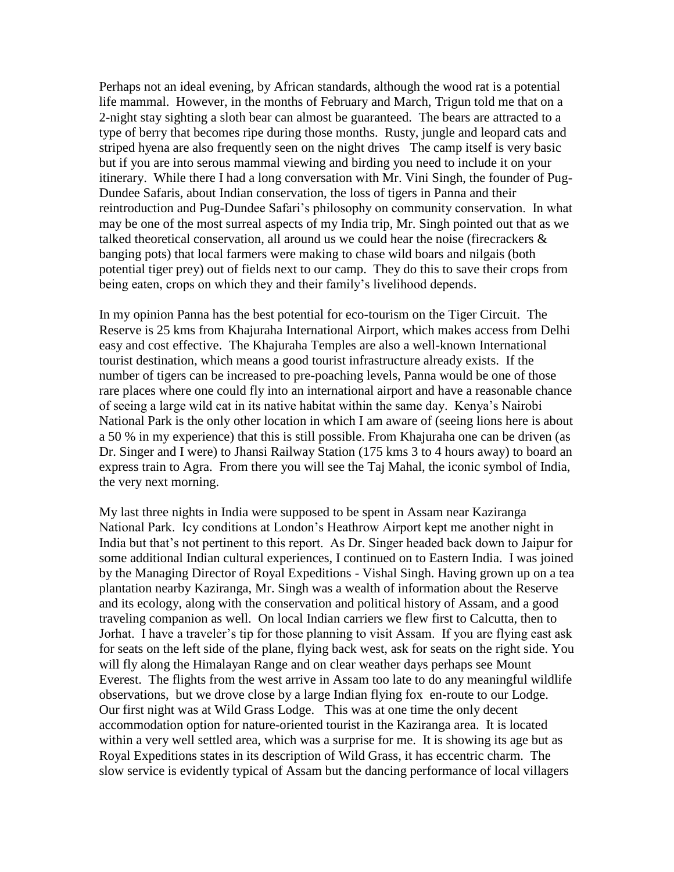Perhaps not an ideal evening, by African standards, although the wood rat is a potential life mammal. However, in the months of February and March, Trigun told me that on a 2-night stay sighting a sloth bear can almost be guaranteed. The bears are attracted to a type of berry that becomes ripe during those months. Rusty, jungle and leopard cats and striped hyena are also frequently seen on the night drives The camp itself is very basic but if you are into serous mammal viewing and birding you need to include it on your itinerary. While there I had a long conversation with Mr. Vini Singh, the founder of Pug-Dundee Safaris, about Indian conservation, the loss of tigers in Panna and their reintroduction and Pug-Dundee Safari's philosophy on community conservation. In what may be one of the most surreal aspects of my India trip, Mr. Singh pointed out that as we talked theoretical conservation, all around us we could hear the noise (firecrackers  $\&$ banging pots) that local farmers were making to chase wild boars and nilgais (both potential tiger prey) out of fields next to our camp. They do this to save their crops from being eaten, crops on which they and their family's livelihood depends.

In my opinion Panna has the best potential for eco-tourism on the Tiger Circuit. The Reserve is 25 kms from Khajuraha International Airport, which makes access from Delhi easy and cost effective. The Khajuraha Temples are also a well-known International tourist destination, which means a good tourist infrastructure already exists. If the number of tigers can be increased to pre-poaching levels, Panna would be one of those rare places where one could fly into an international airport and have a reasonable chance of seeing a large wild cat in its native habitat within the same day. Kenya's Nairobi National Park is the only other location in which I am aware of (seeing lions here is about a 50 % in my experience) that this is still possible. From Khajuraha one can be driven (as Dr. Singer and I were) to Jhansi Railway Station (175 kms 3 to 4 hours away) to board an express train to Agra. From there you will see the Taj Mahal, the iconic symbol of India, the very next morning.

My last three nights in India were supposed to be spent in Assam near Kaziranga National Park. Icy conditions at London's Heathrow Airport kept me another night in India but that's not pertinent to this report. As Dr. Singer headed back down to Jaipur for some additional Indian cultural experiences, I continued on to Eastern India. I was joined by the Managing Director of Royal Expeditions - Vishal Singh. Having grown up on a tea plantation nearby Kaziranga, Mr. Singh was a wealth of information about the Reserve and its ecology, along with the conservation and political history of Assam, and a good traveling companion as well. On local Indian carriers we flew first to Calcutta, then to Jorhat. I have a traveler's tip for those planning to visit Assam. If you are flying east ask for seats on the left side of the plane, flying back west, ask for seats on the right side. You will fly along the Himalayan Range and on clear weather days perhaps see Mount Everest. The flights from the west arrive in Assam too late to do any meaningful wildlife observations, but we drove close by a large Indian flying fox en-route to our Lodge. Our first night was at Wild Grass Lodge. This was at one time the only decent accommodation option for nature-oriented tourist in the Kaziranga area. It is located within a very well settled area, which was a surprise for me. It is showing its age but as Royal Expeditions states in its description of Wild Grass, it has eccentric charm. The slow service is evidently typical of Assam but the dancing performance of local villagers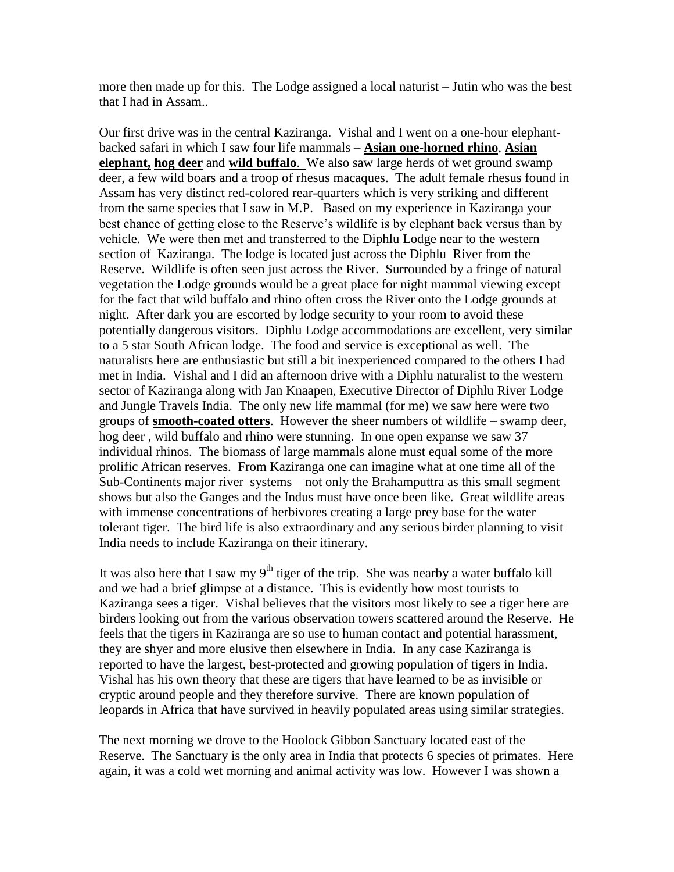more then made up for this. The Lodge assigned a local naturist – Jutin who was the best that I had in Assam..

Our first drive was in the central Kaziranga. Vishal and I went on a one-hour elephantbacked safari in which I saw four life mammals – **Asian one-horned rhino**, **Asian elephant, hog deer** and **wild buffalo**. We also saw large herds of wet ground swamp deer, a few wild boars and a troop of rhesus macaques. The adult female rhesus found in Assam has very distinct red-colored rear-quarters which is very striking and different from the same species that I saw in M.P. Based on my experience in Kaziranga your best chance of getting close to the Reserve's wildlife is by elephant back versus than by vehicle. We were then met and transferred to the Diphlu Lodge near to the western section of Kaziranga. The lodge is located just across the Diphlu River from the Reserve. Wildlife is often seen just across the River. Surrounded by a fringe of natural vegetation the Lodge grounds would be a great place for night mammal viewing except for the fact that wild buffalo and rhino often cross the River onto the Lodge grounds at night. After dark you are escorted by lodge security to your room to avoid these potentially dangerous visitors. Diphlu Lodge accommodations are excellent, very similar to a 5 star South African lodge. The food and service is exceptional as well. The naturalists here are enthusiastic but still a bit inexperienced compared to the others I had met in India. Vishal and I did an afternoon drive with a Diphlu naturalist to the western sector of Kaziranga along with Jan Knaapen, Executive Director of Diphlu River Lodge and Jungle Travels India. The only new life mammal (for me) we saw here were two groups of **smooth-coated otters**. However the sheer numbers of wildlife – swamp deer, hog deer , wild buffalo and rhino were stunning. In one open expanse we saw 37 individual rhinos. The biomass of large mammals alone must equal some of the more prolific African reserves. From Kaziranga one can imagine what at one time all of the Sub-Continents major river systems – not only the Brahamputtra as this small segment shows but also the Ganges and the Indus must have once been like. Great wildlife areas with immense concentrations of herbivores creating a large prey base for the water tolerant tiger. The bird life is also extraordinary and any serious birder planning to visit India needs to include Kaziranga on their itinerary.

It was also here that I saw my  $9<sup>th</sup>$  tiger of the trip. She was nearby a water buffalo kill and we had a brief glimpse at a distance. This is evidently how most tourists to Kaziranga sees a tiger. Vishal believes that the visitors most likely to see a tiger here are birders looking out from the various observation towers scattered around the Reserve. He feels that the tigers in Kaziranga are so use to human contact and potential harassment, they are shyer and more elusive then elsewhere in India. In any case Kaziranga is reported to have the largest, best-protected and growing population of tigers in India. Vishal has his own theory that these are tigers that have learned to be as invisible or cryptic around people and they therefore survive. There are known population of leopards in Africa that have survived in heavily populated areas using similar strategies.

The next morning we drove to the Hoolock Gibbon Sanctuary located east of the Reserve. The Sanctuary is the only area in India that protects 6 species of primates. Here again, it was a cold wet morning and animal activity was low. However I was shown a